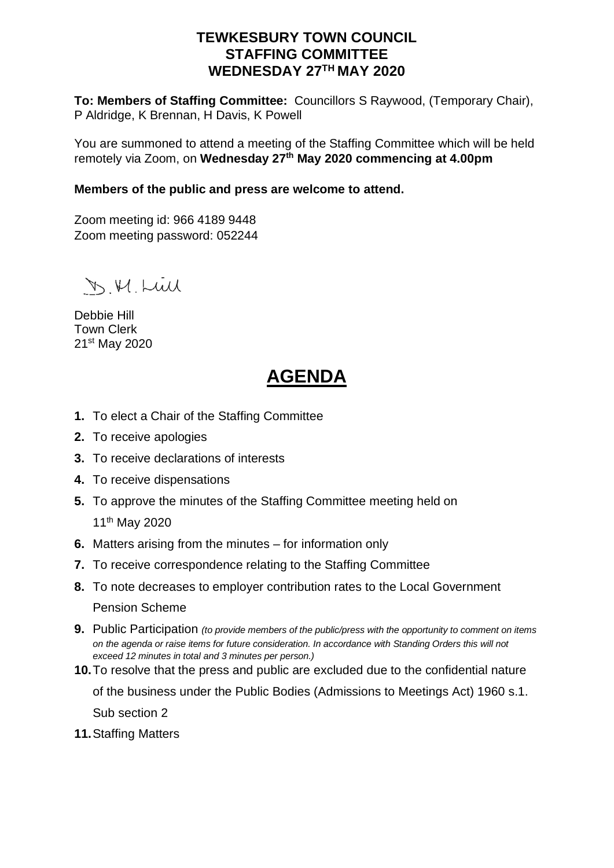## **TEWKESBURY TOWN COUNCIL STAFFING COMMITTEE WEDNESDAY 27TH MAY 2020**

**To: Members of Staffing Committee:** Councillors S Raywood, (Temporary Chair), P Aldridge, K Brennan, H Davis, K Powell

You are summoned to attend a meeting of the Staffing Committee which will be held remotely via Zoom, on **Wednesday 27th May 2020 commencing at 4.00pm**

### **Members of the public and press are welcome to attend.**

Zoom meeting id: 966 4189 9448 Zoom meeting password: 052244

D.M. Lull

Debbie Hill Town Clerk 21st May 2020

# **AGENDA**

- **1.** To elect a Chair of the Staffing Committee
- **2.** To receive apologies
- **3.** To receive declarations of interests
- **4.** To receive dispensations
- **5.** To approve the minutes of the Staffing Committee meeting held on

11th May 2020

- **6.** Matters arising from the minutes for information only
- **7.** To receive correspondence relating to the Staffing Committee
- **8.** To note decreases to employer contribution rates to the Local Government Pension Scheme
- **9.** Public Participation *(to provide members of the public/press with the opportunity to comment on items on the agenda or raise items for future consideration. In accordance with Standing Orders this will not exceed 12 minutes in total and 3 minutes per person.)*
- **10.**To resolve that the press and public are excluded due to the confidential nature

of the business under the Public Bodies (Admissions to Meetings Act) 1960 s.1.

Sub section 2

**11.**Staffing Matters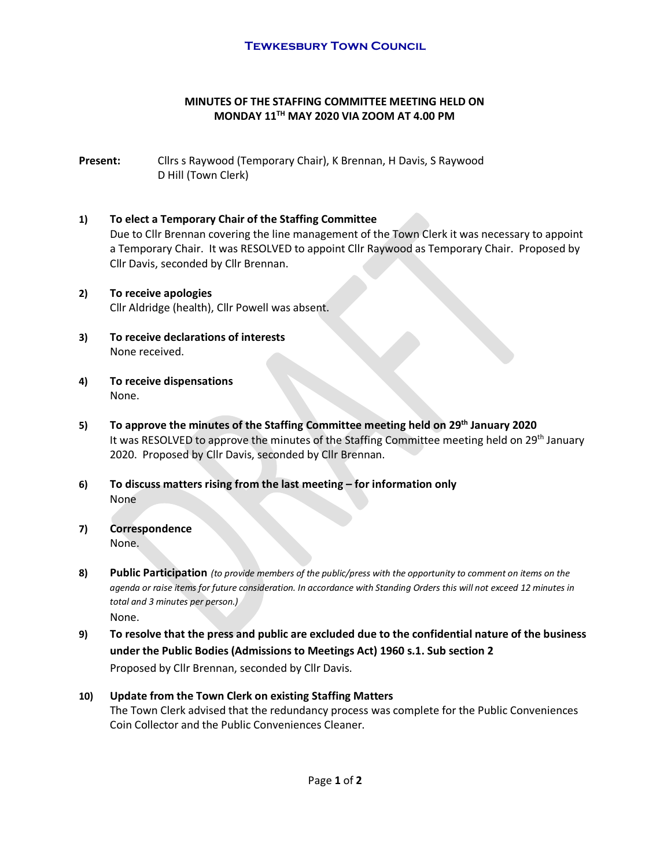#### **MINUTES OF THE STAFFING COMMITTEE MEETING HELD ON MONDAY 11TH MAY 2020 VIA ZOOM AT 4.00 PM**

**Present:** Cllrs s Raywood (Temporary Chair), K Brennan, H Davis, S Raywood D Hill (Town Clerk)

#### **1) To elect a Temporary Chair of the Staffing Committee**

Due to Cllr Brennan covering the line management of the Town Clerk it was necessary to appoint a Temporary Chair. It was RESOLVED to appoint Cllr Raywood as Temporary Chair. Proposed by Cllr Davis, seconded by Cllr Brennan.

- **2) To receive apologies** Cllr Aldridge (health), Cllr Powell was absent.
- **3) To receive declarations of interests** None received.
- **4) To receive dispensations** None.
- **5) To approve the minutes of the Staffing Committee meeting held on 29th January 2020** It was RESOLVED to approve the minutes of the Staffing Committee meeting held on 29<sup>th</sup> January 2020. Proposed by Cllr Davis, seconded by Cllr Brennan.
- **6) To discuss matters rising from the last meeting – for information only** None
- **7) Correspondence** None.
- **8) Public Participation** *(to provide members of the public/press with the opportunity to comment on items on the agenda or raise items for future consideration. In accordance with Standing Orders this will not exceed 12 minutes in total and 3 minutes per person.)* None.
- **9) To resolve that the press and public are excluded due to the confidential nature of the business under the Public Bodies (Admissions to Meetings Act) 1960 s.1. Sub section 2** Proposed by Cllr Brennan, seconded by Cllr Davis.

#### **10) Update from the Town Clerk on existing Staffing Matters** The Town Clerk advised that the redundancy process was complete for the Public Conveniences Coin Collector and the Public Conveniences Cleaner.